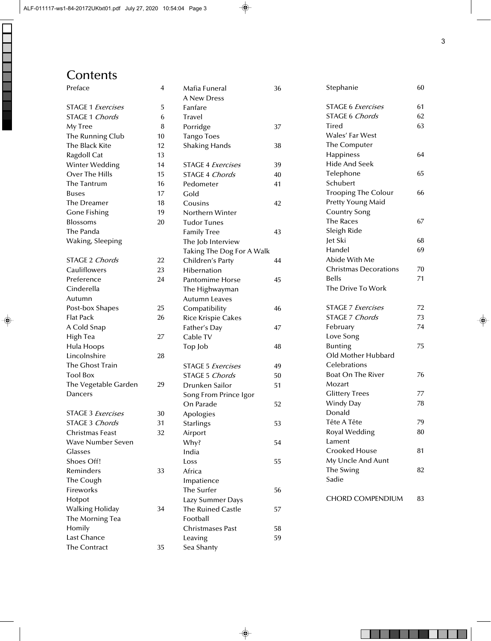## **Contents**

| Preface                  | 4  | Mafia Funeral<br><b>A New Dress</b> | 36 | Stephanie                    | 60 |
|--------------------------|----|-------------------------------------|----|------------------------------|----|
| <b>STAGE 1 Exercises</b> | 5  | Fanfare                             |    | <b>STAGE 6 Exercises</b>     | 61 |
| <b>STAGE 1 Chords</b>    | 6  | <b>Travel</b>                       |    | <b>STAGE 6 Chords</b>        | 62 |
| My Tree                  | 8  | Porridge                            | 37 | Tired                        | 63 |
| The Running Club         | 10 | <b>Tango Toes</b>                   |    | Wales' Far West              |    |
| The Black Kite           | 12 | <b>Shaking Hands</b>                | 38 | The Computer                 |    |
| Ragdoll Cat              | 13 |                                     |    | Happiness                    | 64 |
| Winter Wedding           | 14 | <b>STAGE 4 Exercises</b>            | 39 | <b>Hide And Seek</b>         |    |
| Over The Hills           | 15 | <b>STAGE 4 Chords</b>               | 40 | Telephone                    | 65 |
| The Tantrum              | 16 | Pedometer                           | 41 | Schubert                     |    |
| <b>Buses</b>             | 17 | Gold                                |    | <b>Trooping The Colour</b>   | 66 |
| The Dreamer              | 18 | Cousins                             | 42 | Pretty Young Maid            |    |
| <b>Gone Fishing</b>      | 19 | Northern Winter                     |    | <b>Country Song</b>          |    |
| Blossoms                 | 20 | <b>Tudor Tunes</b>                  |    | <b>The Races</b>             | 67 |
| The Panda                |    | <b>Family Tree</b>                  | 43 | Sleigh Ride                  |    |
| Waking, Sleeping         |    | The Job Interview                   |    | Jet Ski                      | 68 |
|                          |    | Taking The Dog For A Walk           |    | Handel                       | 69 |
| STAGE 2 Chords           | 22 | Children's Party                    | 44 | Abide With Me                |    |
| Cauliflowers             | 23 | Hibernation                         |    | <b>Christmas Decorations</b> | 70 |
| Preference               | 24 | <b>Pantomime Horse</b>              | 45 | <b>Bells</b>                 | 71 |
| Cinderella               |    | The Highwayman                      |    | The Drive To Work            |    |
| Autumn                   |    | <b>Autumn Leaves</b>                |    |                              |    |
| Post-box Shapes          | 25 | Compatibility                       | 46 | <b>STAGE 7 Exercises</b>     | 72 |
| <b>Flat Pack</b>         | 26 | <b>Rice Krispie Cakes</b>           |    | STAGE 7 Chords               | 73 |
| A Cold Snap              |    | Father's Day                        | 47 | February                     | 74 |
| High Tea                 | 27 | Cable TV                            |    | Love Song                    |    |
| Hula Hoops               |    | Top Job                             | 48 | <b>Bunting</b>               | 75 |
| Lincolnshire             | 28 |                                     |    | Old Mother Hubbard           |    |
| The Ghost Train          |    | <b>STAGE 5 Exercises</b>            | 49 | Celebrations                 |    |
| <b>Tool Box</b>          |    | <b>STAGE 5 Chords</b>               | 50 | <b>Boat On The River</b>     | 76 |
| The Vegetable Garden     | 29 | Drunken Sailor                      | 51 | Mozart                       |    |
| Dancers                  |    | Song From Prince Igor               |    | <b>Glittery Trees</b>        | 77 |
|                          |    | On Parade                           | 52 | Windy Day                    | 78 |
| <b>STAGE 3 Exercises</b> | 30 | Apologies                           |    | Donald                       |    |
| STAGE 3 Chords           | 31 | <b>Starlings</b>                    | 53 | Tête A Tête                  | 79 |
| <b>Christmas Feast</b>   | 32 | Airport                             |    | Royal Wedding                | 80 |
| <b>Wave Number Seven</b> |    | Why?                                | 54 | Lament                       |    |
| <b>Glasses</b>           |    | India                               |    | <b>Crooked House</b>         | 81 |
| Shoes Off!               |    | Loss                                | 55 | My Uncle And Aunt            |    |
| Reminders                | 33 | Africa                              |    | The Swing                    | 82 |
| The Cough                |    | Impatience                          |    | Sadie                        |    |
| Fireworks                |    | The Surfer                          | 56 |                              |    |
| Hotpot                   |    | Lazy Summer Days                    |    | <b>CHORD COMPENDIUM</b>      | 83 |
| Walking Holiday          | 34 | <b>The Ruined Castle</b>            | 57 |                              |    |
| The Morning Tea          |    | Football                            |    |                              |    |
| Homily                   |    | <b>Christmases Past</b>             | 58 |                              |    |
| Last Chance              |    | Leaving                             | 59 |                              |    |
| The Contract             | 35 | Sea Shanty                          |    |                              |    |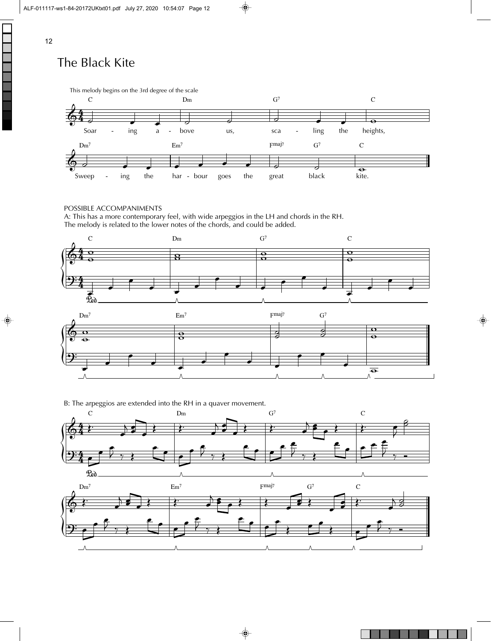# The Black Kite



POSSIBLE ACCOMPANIMENTS

A: This has a more contemporary feel, with wide arpeggios in the LH and chords in the RH. The melody is related to the lower notes of the chords, and could be added.





B: The arpeggios are extended into the RH in a quaver movement.